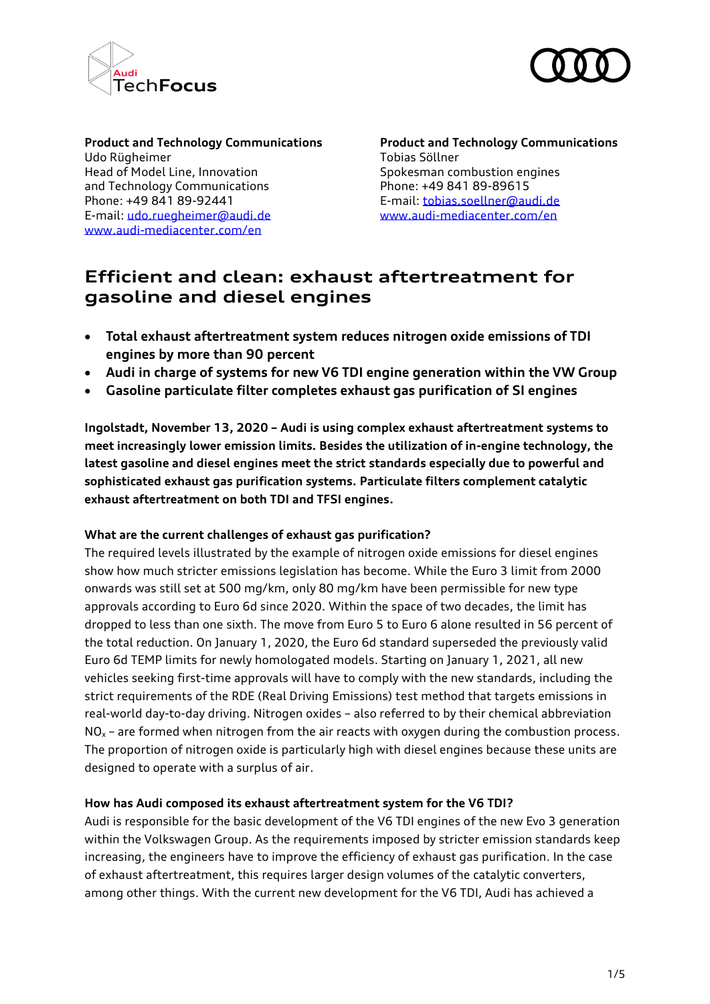



Udo Rügheimer Tobias Söllner Head of Model Line, Innovation Spokesman combustion engines and Technology Communications Thome: +49 841 89-89615 Phone: +49 841 89-92441 E-mail[: tobias.soellner@audi.de](mailto:tobias.soellner@audi.de) E-mail: [udo.ruegheimer@audi.de](mailto:udo.ruegheimer@audi.de) [www.audi-mediacenter.com/en](http://www.audi-mediacenter.com/en) [www.audi-mediacenter.com/en](http://www.audi-mediacenter.com/en)

**Product and Technology Communications Product and Technology Communications**

# **Efficient and clean: exhaust aftertreatment for gasoline and diesel engines**

- **Total exhaust aftertreatment system reduces nitrogen oxide emissions of TDI engines by more than 90 percent**
- **Audi in charge of systems for new V6 TDI engine generation within the VW Group**
- **Gasoline particulate filter completes exhaust gas purification of SI engines**

**Ingolstadt, November 13, 2020 – Audi is using complex exhaust aftertreatment systems to meet increasingly lower emission limits. Besides the utilization of in-engine technology, the latest gasoline and diesel engines meet the strict standards especially due to powerful and sophisticated exhaust gas purification systems. Particulate filters complement catalytic exhaust aftertreatment on both TDI and TFSI engines.** 

## **What are the current challenges of exhaust gas purification?**

The required levels illustrated by the example of nitrogen oxide emissions for diesel engines show how much stricter emissions legislation has become. While the Euro 3 limit from 2000 onwards was still set at 500 mg/km, only 80 mg/km have been permissible for new type approvals according to Euro 6d since 2020. Within the space of two decades, the limit has dropped to less than one sixth. The move from Euro 5 to Euro 6 alone resulted in 56 percent of the total reduction. On January 1, 2020, the Euro 6d standard superseded the previously valid Euro 6d TEMP limits for newly homologated models. Starting on January 1, 2021, all new vehicles seeking first-time approvals will have to comply with the new standards, including the strict requirements of the RDE (Real Driving Emissions) test method that targets emissions in real-world day-to-day driving. Nitrogen oxides – also referred to by their chemical abbreviation  $NO<sub>x</sub>$  – are formed when nitrogen from the air reacts with oxygen during the combustion process. The proportion of nitrogen oxide is particularly high with diesel engines because these units are designed to operate with a surplus of air.

### **How has Audi composed its exhaust aftertreatment system for the V6 TDI?**

Audi is responsible for the basic development of the V6 TDI engines of the new Evo 3 generation within the Volkswagen Group. As the requirements imposed by stricter emission standards keep increasing, the engineers have to improve the efficiency of exhaust gas purification. In the case of exhaust aftertreatment, this requires larger design volumes of the catalytic converters, among other things. With the current new development for the V6 TDI, Audi has achieved a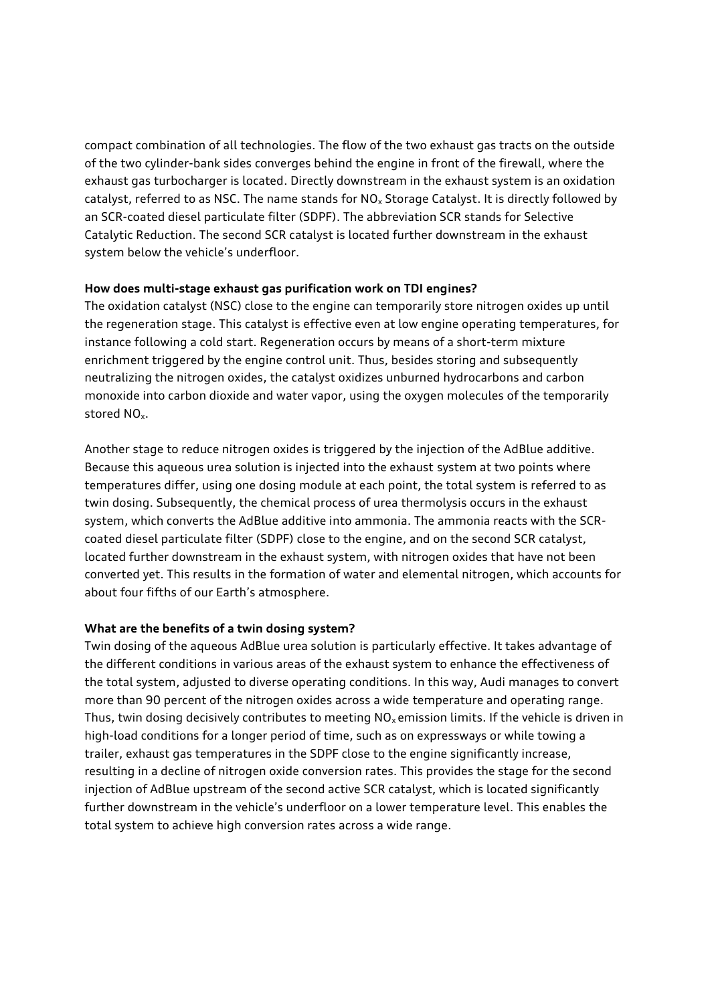compact combination of all technologies. The flow of the two exhaust gas tracts on the outside of the two cylinder-bank sides converges behind the engine in front of the firewall, where the exhaust gas turbocharger is located. Directly downstream in the exhaust system is an oxidation catalyst, referred to as NSC. The name stands for  $NO<sub>x</sub>$  Storage Catalyst. It is directly followed by an SCR-coated diesel particulate filter (SDPF). The abbreviation SCR stands for Selective Catalytic Reduction. The second SCR catalyst is located further downstream in the exhaust system below the vehicle's underfloor.

### **How does multi-stage exhaust gas purification work on TDI engines?**

The oxidation catalyst (NSC) close to the engine can temporarily store nitrogen oxides up until the regeneration stage. This catalyst is effective even at low engine operating temperatures, for instance following a cold start. Regeneration occurs by means of a short-term mixture enrichment triggered by the engine control unit. Thus, besides storing and subsequently neutralizing the nitrogen oxides, the catalyst oxidizes unburned hydrocarbons and carbon monoxide into carbon dioxide and water vapor, using the oxygen molecules of the temporarily stored NOx.

Another stage to reduce nitrogen oxides is triggered by the injection of the AdBlue additive. Because this aqueous urea solution is injected into the exhaust system at two points where temperatures differ, using one dosing module at each point, the total system is referred to as twin dosing. Subsequently, the chemical process of urea thermolysis occurs in the exhaust system, which converts the AdBlue additive into ammonia. The ammonia reacts with the SCRcoated diesel particulate filter (SDPF) close to the engine, and on the second SCR catalyst, located further downstream in the exhaust system, with nitrogen oxides that have not been converted yet. This results in the formation of water and elemental nitrogen, which accounts for about four fifths of our Earth's atmosphere.

## **What are the benefits of a twin dosing system?**

Twin dosing of the aqueous AdBlue urea solution is particularly effective. It takes advantage of the different conditions in various areas of the exhaust system to enhance the effectiveness of the total system, adjusted to diverse operating conditions. In this way, Audi manages to convert more than 90 percent of the nitrogen oxides across a wide temperature and operating range. Thus, twin dosing decisively contributes to meeting  $NO<sub>x</sub>$  emission limits. If the vehicle is driven in high-load conditions for a longer period of time, such as on expressways or while towing a trailer, exhaust gas temperatures in the SDPF close to the engine significantly increase, resulting in a decline of nitrogen oxide conversion rates. This provides the stage for the second injection of AdBlue upstream of the second active SCR catalyst, which is located significantly further downstream in the vehicle's underfloor on a lower temperature level. This enables the total system to achieve high conversion rates across a wide range.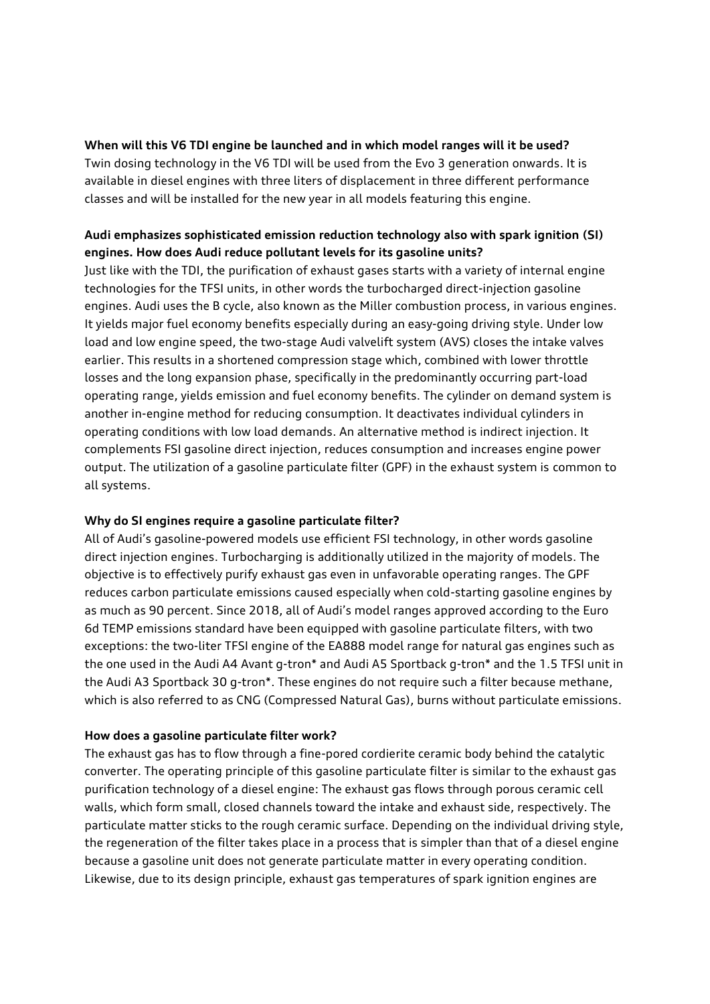## **When will this V6 TDI engine be launched and in which model ranges will it be used?**

Twin dosing technology in the V6 TDI will be used from the Evo 3 generation onwards. It is available in diesel engines with three liters of displacement in three different performance classes and will be installed for the new year in all models featuring this engine.

# **Audi emphasizes sophisticated emission reduction technology also with spark ignition (SI) engines. How does Audi reduce pollutant levels for its gasoline units?**

Just like with the TDI, the purification of exhaust gases starts with a variety of internal engine technologies for the TFSI units, in other words the turbocharged direct-injection gasoline engines. Audi uses the B cycle, also known as the Miller combustion process, in various engines. It yields major fuel economy benefits especially during an easy-going driving style. Under low load and low engine speed, the two-stage Audi valvelift system (AVS) closes the intake valves earlier. This results in a shortened compression stage which, combined with lower throttle losses and the long expansion phase, specifically in the predominantly occurring part-load operating range, yields emission and fuel economy benefits. The cylinder on demand system is another in-engine method for reducing consumption. It deactivates individual cylinders in operating conditions with low load demands. An alternative method is indirect injection. It complements FSI gasoline direct injection, reduces consumption and increases engine power output. The utilization of a gasoline particulate filter (GPF) in the exhaust system is common to all systems.

## **Why do SI engines require a gasoline particulate filter?**

All of Audi's gasoline-powered models use efficient FSI technology, in other words gasoline direct injection engines. Turbocharging is additionally utilized in the majority of models. The objective is to effectively purify exhaust gas even in unfavorable operating ranges. The GPF reduces carbon particulate emissions caused especially when cold-starting gasoline engines by as much as 90 percent. Since 2018, all of Audi's model ranges approved according to the Euro 6d TEMP emissions standard have been equipped with gasoline particulate filters, with two exceptions: the two-liter TFSI engine of the EA888 model range for natural gas engines such as the one used in the Audi A4 Avant g-tron\* and Audi A5 Sportback g-tron\* and the 1.5 TFSI unit in the Audi A3 Sportback 30 g-tron\*. These engines do not require such a filter because methane, which is also referred to as CNG (Compressed Natural Gas), burns without particulate emissions.

## **How does a gasoline particulate filter work?**

The exhaust gas has to flow through a fine-pored cordierite ceramic body behind the catalytic converter. The operating principle of this gasoline particulate filter is similar to the exhaust gas purification technology of a diesel engine: The exhaust gas flows through porous ceramic cell walls, which form small, closed channels toward the intake and exhaust side, respectively. The particulate matter sticks to the rough ceramic surface. Depending on the individual driving style, the regeneration of the filter takes place in a process that is simpler than that of a diesel engine because a gasoline unit does not generate particulate matter in every operating condition. Likewise, due to its design principle, exhaust gas temperatures of spark ignition engines are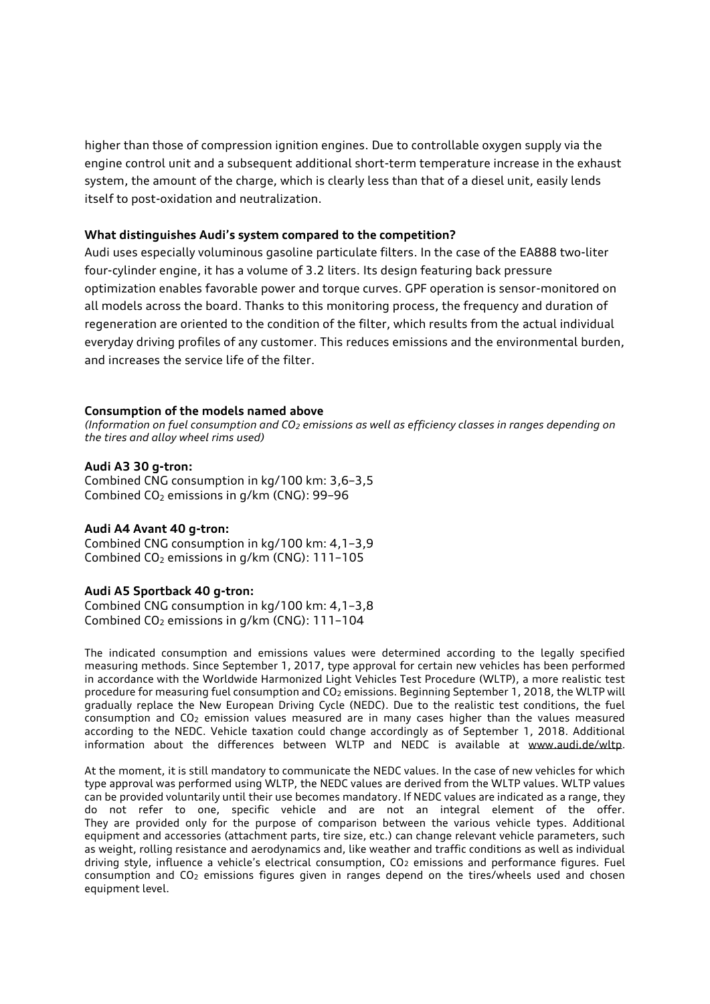higher than those of compression ignition engines. Due to controllable oxygen supply via the engine control unit and a subsequent additional short-term temperature increase in the exhaust system, the amount of the charge, which is clearly less than that of a diesel unit, easily lends itself to post-oxidation and neutralization.

#### **What distinguishes Audi's system compared to the competition?**

Audi uses especially voluminous gasoline particulate filters. In the case of the EA888 two-liter four-cylinder engine, it has a volume of 3.2 liters. Its design featuring back pressure optimization enables favorable power and torque curves. GPF operation is sensor-monitored on all models across the board. Thanks to this monitoring process, the frequency and duration of regeneration are oriented to the condition of the filter, which results from the actual individual everyday driving profiles of any customer. This reduces emissions and the environmental burden, and increases the service life of the filter.

#### **Consumption of the models named above**

*(Information on fuel consumption and CO<sup>2</sup> emissions as well as efficiency classes in ranges depending on the tires and alloy wheel rims used)*

#### **Audi A3 30 g-tron:**

Combined CNG consumption in kg/100 km: 3,6–3,5 Combined  $CO<sub>2</sub>$  emissions in g/km (CNG): 99-96

#### **Audi A4 Avant 40 g-tron:**

Combined CNG consumption in kg/100 km: 4,1–3,9 Combined CO<sub>2</sub> emissions in g/km (CNG): 111-105

#### **Audi A5 Sportback 40 g-tron:**

Combined CNG consumption in kg/100 km: 4,1–3,8 Combined CO<sub>2</sub> emissions in g/km (CNG): 111-104

The indicated consumption and emissions values were determined according to the legally specified measuring methods. Since September 1, 2017, type approval for certain new vehicles has been performed in accordance with the Worldwide Harmonized Light Vehicles Test Procedure (WLTP), a more realistic test procedure for measuring fuel consumption and CO<sub>2</sub> emissions. Beginning September 1, 2018, the WLTP will gradually replace the New European Driving Cycle (NEDC). Due to the realistic test conditions, the fuel consumption and CO<sup>2</sup> emission values measured are in many cases higher than the values measured according to the NEDC. Vehicle taxation could change accordingly as of September 1, 2018. Additional information about the differences between WLTP and NEDC is available at [www.audi.de/wltp.](http://www.audi.de/wltp)

At the moment, it is still mandatory to communicate the NEDC values. In the case of new vehicles for which type approval was performed using WLTP, the NEDC values are derived from the WLTP values. WLTP values can be provided voluntarily until their use becomes mandatory. If NEDC values are indicated as a range, they do not refer to one, specific vehicle and are not an integral element of the offer. They are provided only for the purpose of comparison between the various vehicle types. Additional equipment and accessories (attachment parts, tire size, etc.) can change relevant vehicle parameters, such as weight, rolling resistance and aerodynamics and, like weather and traffic conditions as well as individual driving style, influence a vehicle's electrical consumption, CO<sub>2</sub> emissions and performance figures. Fuel consumption and CO<sup>2</sup> emissions figures given in ranges depend on the tires/wheels used and chosen equipment level.